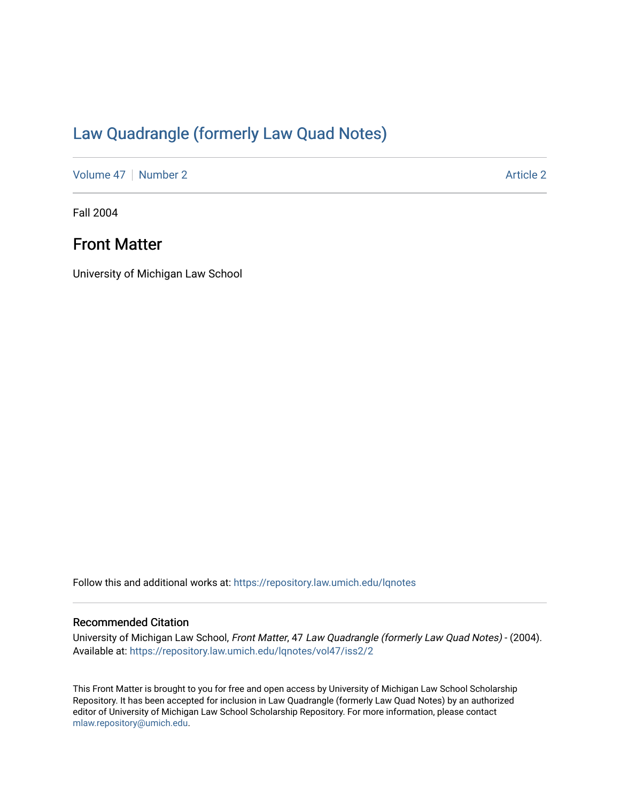## [Law Quadrangle \(formerly Law Quad Notes\)](https://repository.law.umich.edu/lqnotes)

[Volume 47](https://repository.law.umich.edu/lqnotes/vol47) | [Number 2](https://repository.law.umich.edu/lqnotes/vol47/iss2) Article 2

Fall 2004

## Front Matter

University of Michigan Law School

Follow this and additional works at: [https://repository.law.umich.edu/lqnotes](https://repository.law.umich.edu/lqnotes?utm_source=repository.law.umich.edu%2Flqnotes%2Fvol47%2Fiss2%2F2&utm_medium=PDF&utm_campaign=PDFCoverPages) 

### Recommended Citation

University of Michigan Law School, Front Matter, 47 Law Quadrangle (formerly Law Quad Notes) - (2004). Available at: [https://repository.law.umich.edu/lqnotes/vol47/iss2/2](https://repository.law.umich.edu/lqnotes/vol47/iss2/2?utm_source=repository.law.umich.edu%2Flqnotes%2Fvol47%2Fiss2%2F2&utm_medium=PDF&utm_campaign=PDFCoverPages) 

This Front Matter is brought to you for free and open access by University of Michigan Law School Scholarship Repository. It has been accepted for inclusion in Law Quadrangle (formerly Law Quad Notes) by an authorized editor of University of Michigan Law School Scholarship Repository. For more information, please contact [mlaw.repository@umich.edu.](mailto:mlaw.repository@umich.edu)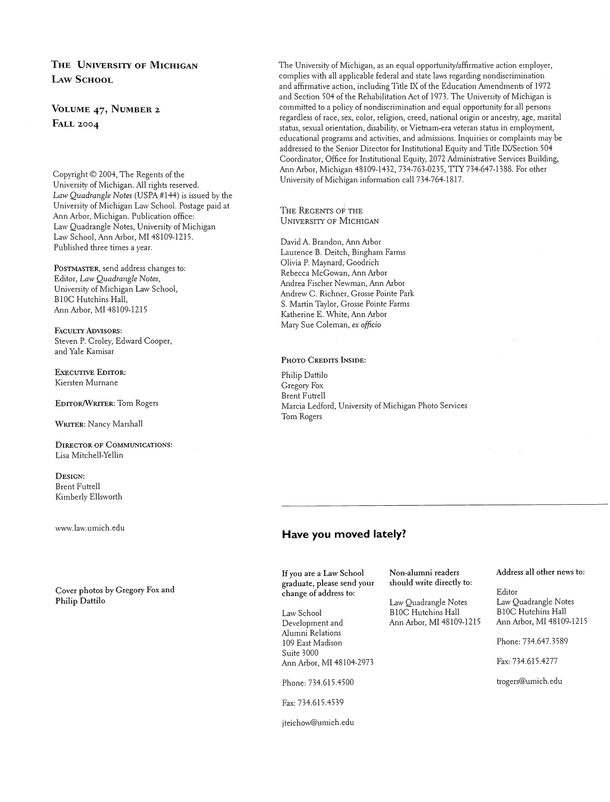## THE UNIVERSITY OF MICHIGAN **LAW SCHOOL**

VOLUME 47, NUMBER 2 **FALL 2004** 

Copyright © 2004, The Regents of the University of Michigan. All rights reserved. Law Quadrangle Notes (USPA  $#144$ ) is issued by the University of Michigan Law School. Postage paid at Ann Arbor: Michigan. Publication office: Law Quadrangle Notes, University of Michigan Law School, Ann Arbor, MI 48109-1215. Published three times a year.

POSTMASTER, send address changes to: Editor, *Law Quadrangle Notes*, University of Michigan Law School, BlOC Hutchins Hall, Ann Arbor, MI 48109-1215

FACULTY ADVISORS: Steven P. Croley, Edward Cooper, and Yale Kamisar

EXECUTNE EDITOR: Kiersten Murnane

EDITOR/WRITER: Tom Rogers

WRITER: Nancy Marshall

DIRECTOR OF COMMUNICATIONS: Lisa Mitchell-Yellin

DESIGN: Brent Futrell Kimberly Ellsworth

\~7~4\.la\~.umich edu

Cover photos by Gregory Fox and Philip Dattilo

The University of Michigan, as an equal opportunity/affirmative action employer, complies with all applicable federal and state laws regarding nondiscrimination and affirmative action, including Title IX of the Education Amendments of 1972 and Section 504 of the Rehabilitation Act of 1973. The University of Michigan is committed to a policy of nondiscrimination and equal opportunity for all persons regardless of race, sex, color, religion, creed, national origin or ancestry, age, marital status, sexual orientation, disability, or Vietnam-era veteran status in employment, educational programs and activities, and admissions. Inquiries or complaints may be addressed to the Senior Director for Institutional Equity and Title IWSection 504 Coordinator, Office for Institutional Equity, 2072 Administrative Services Building, Ann Arbor, Michigan 48109-1432, 734-763-0235, TTY 734-647-1388. For other University of Michigan information call 734-764-1817,

THE REGENTS OF THE **UNIVERSITY OF MICHIGAN** 

David A. Brandon, Ann Arbor Laurence B. Deitch, Bingham Farms Olivia P. Maynard, Goodrich Rebecca McGowan, Ann Arbor Andrea Fischer Newnian, Ann Arbor Andrew C. Richner, Grosse Pointe Park S. Martin Taylor, Grosse Pointe Farms Katherine E. White, Ann Arbor Mary Sue Coleman, ex officio

#### PHOTO CREDITS INSIDE:

Philip Dattilo Gregory Fox Brent Futrell Marcia Ledford, University of Michigan Photo Services Tom Rogers

## **Have you moved lately?**

If you are a Law School !graduate, please send your change of address to:

Law School Development and Alumni Relations 109 East Madison Suite 3000 Ann Arbor, MI 48104-2973

Phone: 734.615.4500

Fax: 734.615.4539

jteichow@umich.edu

should write directly to:

Law Quadrangle Notes Law Quadrangle Notes BlOC Hutchins Hall BlOC Hutchins Hall<br>Ann Arbor, MI 48109-1215 Ann Arbor, MI 48109-1215 Ann Arbor, MI 48109-1215

#### Non-alumni readers Address all other news to:

Editor<br>Law Ouadrangle Notes

Phone: 734.647.3589

Fax: 734.615.4277

trogers@umich.edu